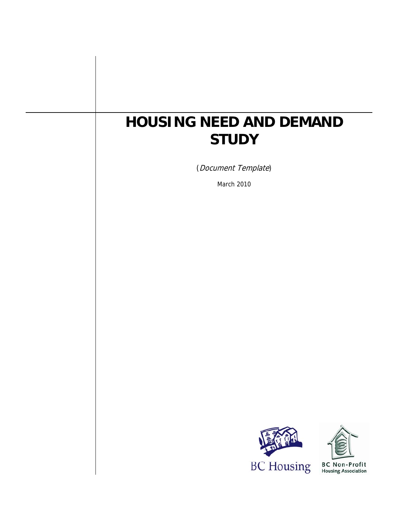# **HOUSING NEED AND DEMAND STUDY**

(Document Template)

March 2010





**BC Non-Profit**<br>Housing Association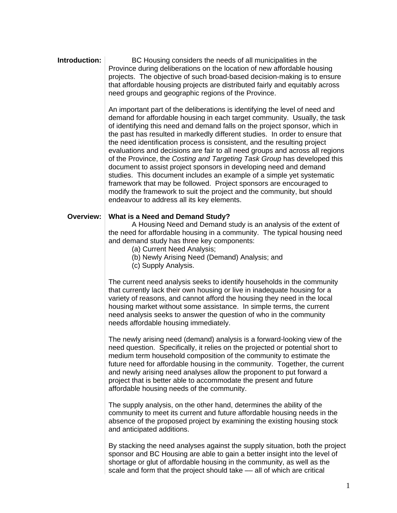#### **Introduction: BC** Housing considers the needs of all municipalities in the Province during deliberations on the location of new affordable housing projects. The objective of such broad-based decision-making is to ensure that affordable housing projects are distributed fairly and equitably across need groups and geographic regions of the Province.

An important part of the deliberations is identifying the level of need and demand for affordable housing in each target community. Usually, the task of identifying this need and demand falls on the project sponsor, which in the past has resulted in markedly different studies. In order to ensure that the need identification process is consistent, and the resulting project evaluations and decisions are fair to all need groups and across all regions of the Province, the *Costing and Targeting Task Group* has developed this document to assist project sponsors in developing need and demand studies. This document includes an example of a simple yet systematic framework that may be followed. Project sponsors are encouraged to modify the framework to suit the project and the community, but should endeavour to address all its key elements.

#### **Overview: What is a Need and Demand Study?**

A Housing Need and Demand study is an analysis of the extent of the need for affordable housing in a community. The typical housing need and demand study has three key components:

- (a) Current Need Analysis;
- (b) Newly Arising Need (Demand) Analysis; and
- (c) Supply Analysis.

The current need analysis seeks to identify households in the community that currently lack their own housing or live in inadequate housing for a variety of reasons, and cannot afford the housing they need in the local housing market without some assistance. In simple terms, the current need analysis seeks to answer the question of who in the community needs affordable housing immediately.

The newly arising need (demand) analysis is a forward-looking view of the need question. Specifically, it relies on the projected or potential short to medium term household composition of the community to estimate the future need for affordable housing in the community. Together, the current and newly arising need analyses allow the proponent to put forward a project that is better able to accommodate the present and future affordable housing needs of the community.

The supply analysis, on the other hand, determines the ability of the community to meet its current and future affordable housing needs in the absence of the proposed project by examining the existing housing stock and anticipated additions.

By stacking the need analyses against the supply situation, both the project sponsor and BC Housing are able to gain a better insight into the level of shortage or glut of affordable housing in the community, as well as the scale and form that the project should take — all of which are critical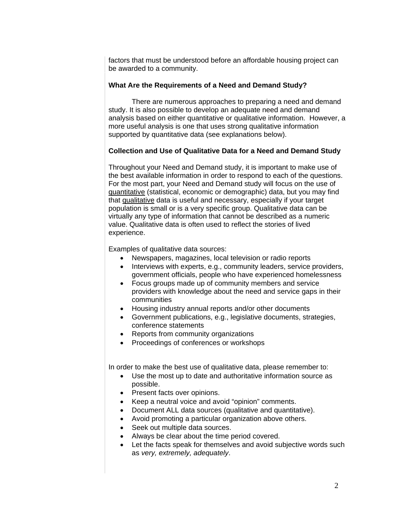factors that must be understood before an affordable housing project can be awarded to a community.

#### **What Are the Requirements of a Need and Demand Study?**

There are numerous approaches to preparing a need and demand study. It is also possible to develop an adequate need and demand analysis based on either quantitative or qualitative information. However, a more useful analysis is one that uses strong qualitative information supported by quantitative data (see explanations below).

#### **Collection and Use of Qualitative Data for a Need and Demand Study**

Throughout your Need and Demand study, it is important to make use of the best available information in order to respond to each of the questions. For the most part, your Need and Demand study will focus on the use of quantitative (statistical, economic or demographic) data, but you may find that qualitative data is useful and necessary, especially if your target population is small or is a very specific group. Qualitative data can be virtually any type of information that cannot be described as a numeric value. Qualitative data is often used to reflect the stories of lived experience.

Examples of qualitative data sources:

- Newspapers, magazines, local television or radio reports
- Interviews with experts, e.g., community leaders, service providers, government officials, people who have experienced homelessness
- Focus groups made up of community members and service providers with knowledge about the need and service gaps in their communities
- Housing industry annual reports and/or other documents
- Government publications, e.g., legislative documents, strategies, conference statements
- Reports from community organizations
- Proceedings of conferences or workshops

In order to make the best use of qualitative data, please remember to:

- Use the most up to date and authoritative information source as possible.
- Present facts over opinions.
- Keep a neutral voice and avoid "opinion" comments.
- Document ALL data sources (qualitative and quantitative).
- Avoid promoting a particular organization above others.
- Seek out multiple data sources.
- Always be clear about the time period covered.
- Let the facts speak for themselves and avoid subjective words such as *very, extremely, adequately*.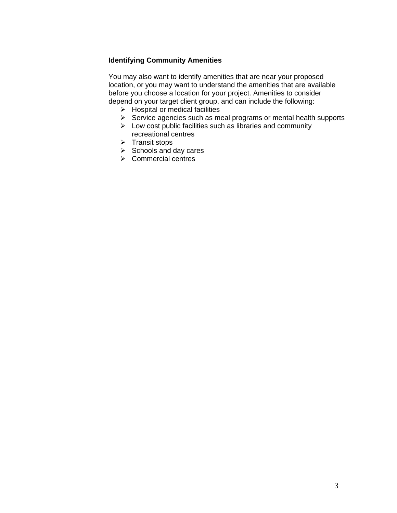### **Identifying Community Amenities**

You may also want to identify amenities that are near your proposed location, or you may want to understand the amenities that are available before you choose a location for your project. Amenities to consider depend on your target client group, and can include the following:

- $\triangleright$  Hospital or medical facilities
- $\triangleright$  Service agencies such as meal programs or mental health supports
- $\triangleright$  Low cost public facilities such as libraries and community recreational centres
- $\triangleright$  Transit stops
- $\triangleright$  Schools and day cares
- $\triangleright$  Commercial centres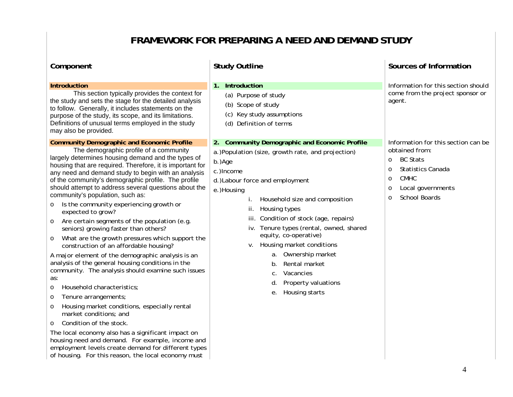## **FRAMEWORK FOR PREPARING A NEED AND DEMAND STUDY**

| Component                                                                                                                                                                                                                                                                                                                                                                                                                                                                                                                                                                                                                                                                                                                                                                                                                                                                                                                                                                                                                                                                                                                                                                                                                                                                                                             | <b>Study Outline</b>                                                                                                                                                                                                                                                                                                                                                                                                                                                                                                  | Sources of Information                                                                                                                                                                                                   |
|-----------------------------------------------------------------------------------------------------------------------------------------------------------------------------------------------------------------------------------------------------------------------------------------------------------------------------------------------------------------------------------------------------------------------------------------------------------------------------------------------------------------------------------------------------------------------------------------------------------------------------------------------------------------------------------------------------------------------------------------------------------------------------------------------------------------------------------------------------------------------------------------------------------------------------------------------------------------------------------------------------------------------------------------------------------------------------------------------------------------------------------------------------------------------------------------------------------------------------------------------------------------------------------------------------------------------|-----------------------------------------------------------------------------------------------------------------------------------------------------------------------------------------------------------------------------------------------------------------------------------------------------------------------------------------------------------------------------------------------------------------------------------------------------------------------------------------------------------------------|--------------------------------------------------------------------------------------------------------------------------------------------------------------------------------------------------------------------------|
| <b>Introduction</b><br>This section typically provides the context for<br>the study and sets the stage for the detailed analysis<br>to follow. Generally, it includes statements on the<br>purpose of the study, its scope, and its limitations.<br>Definitions of unusual terms employed in the study<br>may also be provided.                                                                                                                                                                                                                                                                                                                                                                                                                                                                                                                                                                                                                                                                                                                                                                                                                                                                                                                                                                                       | Introduction<br>1.<br>(a) Purpose of study<br>(b) Scope of study<br>Key study assumptions<br>(c)<br>(d) Definition of terms                                                                                                                                                                                                                                                                                                                                                                                           | Information for this section should<br>come from the project sponsor or<br>agent.                                                                                                                                        |
| <b>Community Demographic and Economic Profile</b><br>The demographic profile of a community<br>largely determines housing demand and the types of<br>housing that are required. Therefore, it is important for<br>any need and demand study to begin with an analysis<br>of the community's demographic profile. The profile<br>should attempt to address several questions about the<br>community's population, such as:<br>Is the community experiencing growth or<br>$\circ$<br>expected to grow?<br>Are certain segments of the population (e.g.<br>$\circ$<br>seniors) growing faster than others?<br>What are the growth pressures which support the<br>$\circ$<br>construction of an affordable housing?<br>A major element of the demographic analysis is an<br>analysis of the general housing conditions in the<br>community. The analysis should examine such issues<br>as:<br>Household characteristics;<br>$\circ$<br>Tenure arrangements;<br>$\circ$<br>Housing market conditions, especially rental<br>$\circ$<br>market conditions; and<br>Condition of the stock.<br>$\circ$<br>The local economy also has a significant impact on<br>housing need and demand. For example, income and<br>employment levels create demand for different types<br>of housing. For this reason, the local economy must | 2. Community Demographic and Economic Profile<br>a.)Population (size, growth rate, and projection)<br>b.)Age<br>c.) Income<br>d.) Labour force and employment<br>e.)Housing<br>Household size and composition<br>Ť.<br>Housing types<br>ii.<br>Condition of stock (age, repairs)<br>iii.<br>iv. Tenure types (rental, owned, shared<br>equity, co-operative)<br>v. Housing market conditions<br>a. Ownership market<br>Rental market<br>b.<br>Vacancies<br>$C$ .<br>Property valuations<br>d.<br>Housing starts<br>е. | Information for this section can be<br>obtained from:<br><b>BC Stats</b><br>$\circ$<br><b>Statistics Canada</b><br>$\circ$<br><b>CMHC</b><br>$\circ$<br>Local governments<br>$\circ$<br><b>School Boards</b><br>$\Omega$ |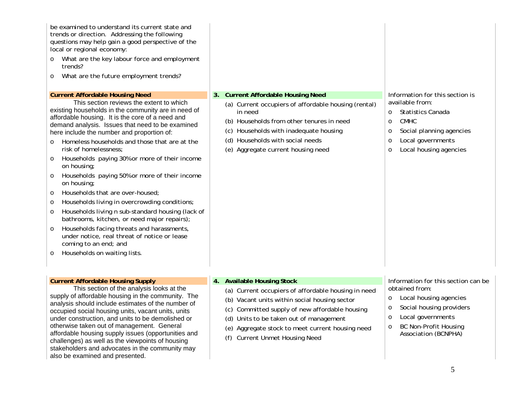| be examined to understand its current state and<br>trends or direction. Addressing the following<br>questions may help gain a good perspective of the<br>local or regional economy:<br>What are the key labour force and employment<br>trends?<br>What are the future employment trends?<br>$\circ$<br><b>Current Affordable Housing Need</b><br>This section reviews the extent to which<br>existing households in the community are in need of<br>affordable housing. It is the core of a need and<br>demand analysis. Issues that need to be examined<br>here include the number and proportion of:<br>Homeless households and those that are at the<br>$\Omega$<br>risk of homelessness;<br>Households paying 30% or more of their income<br>$\circ$<br>on housing;<br>Households paying 50% or more of their income<br>$\circ$<br>on housing;<br>Households that are over-housed;<br>$\circ$<br>Households living in overcrowding conditions;<br>$\circ$<br>Households living n sub-standard housing (lack of<br>$\circ$<br>bathrooms, kitchen, or need major repairs);<br>Households facing threats and harassments,<br>$\circ$<br>under notice, real threat of notice or lease | 3. . | <b>Current Affordable Housing Need</b><br>(a) Current occupiers of affordable housing (rental)<br>in need<br>(b) Households from other tenures in need<br>(c) Households with inadequate housing<br>(d) Households with social needs<br>(e) Aggregate current housing need              | Information for this section is<br>available from:<br><b>Statistics Canada</b><br>$\circ$<br><b>CMHC</b><br>$\circ$<br>Social planning agencies<br>$\circ$<br>Local governments<br>O<br>Local housing agencies<br>$\circ$ |
|---------------------------------------------------------------------------------------------------------------------------------------------------------------------------------------------------------------------------------------------------------------------------------------------------------------------------------------------------------------------------------------------------------------------------------------------------------------------------------------------------------------------------------------------------------------------------------------------------------------------------------------------------------------------------------------------------------------------------------------------------------------------------------------------------------------------------------------------------------------------------------------------------------------------------------------------------------------------------------------------------------------------------------------------------------------------------------------------------------------------------------------------------------------------------------------|------|-----------------------------------------------------------------------------------------------------------------------------------------------------------------------------------------------------------------------------------------------------------------------------------------|---------------------------------------------------------------------------------------------------------------------------------------------------------------------------------------------------------------------------|
| coming to an end; and<br>Households on waiting lists.<br>$\circ$                                                                                                                                                                                                                                                                                                                                                                                                                                                                                                                                                                                                                                                                                                                                                                                                                                                                                                                                                                                                                                                                                                                      |      |                                                                                                                                                                                                                                                                                         |                                                                                                                                                                                                                           |
| <b>Current Affordable Housing Supply</b>                                                                                                                                                                                                                                                                                                                                                                                                                                                                                                                                                                                                                                                                                                                                                                                                                                                                                                                                                                                                                                                                                                                                              |      | 4. Available Housing Stock                                                                                                                                                                                                                                                              | Information for this section can be                                                                                                                                                                                       |
| This section of the analysis looks at the<br>supply of affordable housing in the community. The<br>analysis should include estimates of the number of<br>occupied social housing units, vacant units, units<br>under construction, and units to be demolished or<br>otherwise taken out of management. General<br>affordable housing supply issues (opportunities and<br>challenges) as well as the viewpoints of housing<br>stakeholders and advocates in the community may<br>also be examined and presented.                                                                                                                                                                                                                                                                                                                                                                                                                                                                                                                                                                                                                                                                       |      | (a) Current occupiers of affordable housing in need<br>(b) Vacant units within social housing sector<br>(c) Committed supply of new affordable housing<br>(d) Units to be taken out of management<br>(e) Aggregate stock to meet current housing need<br>(f) Current Unmet Housing Need | obtained from:<br>Local housing agencies<br>$\circ$<br>Social housing providers<br>$\circ$<br>Local governments<br>$\circ$<br><b>BC Non-Profit Housing</b><br>$\circ$<br>Association (BCNPHA)                             |